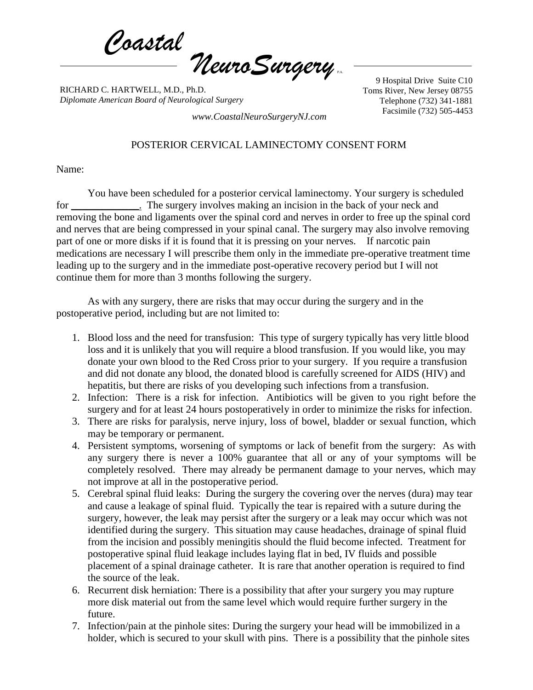*Coastal NeuroSurgery* P.A.

RICHARD C. HARTWELL, M.D., Ph.D. *Diplomate American Board of Neurological Surgery*

9 Hospital Drive Suite C10 Toms River, New Jersey 08755 Telephone (732) 341-1881

Facsimile (732) 505-4453 *www.CoastalNeuroSurgeryNJ.com*

## POSTERIOR CERVICAL LAMINECTOMY CONSENT FORM

Name:

You have been scheduled for a posterior cervical laminectomy. Your surgery is scheduled for \_\_\_\_\_\_\_\_\_\_\_\_\_. The surgery involves making an incision in the back of your neck and removing the bone and ligaments over the spinal cord and nerves in order to free up the spinal cord and nerves that are being compressed in your spinal canal. The surgery may also involve removing part of one or more disks if it is found that it is pressing on your nerves. If narcotic pain medications are necessary I will prescribe them only in the immediate pre-operative treatment time leading up to the surgery and in the immediate post-operative recovery period but I will not continue them for more than 3 months following the surgery.

As with any surgery, there are risks that may occur during the surgery and in the postoperative period, including but are not limited to:

- 1. Blood loss and the need for transfusion: This type of surgery typically has very little blood loss and it is unlikely that you will require a blood transfusion. If you would like, you may donate your own blood to the Red Cross prior to your surgery. If you require a transfusion and did not donate any blood, the donated blood is carefully screened for AIDS (HIV) and hepatitis, but there are risks of you developing such infections from a transfusion.
- 2. Infection: There is a risk for infection. Antibiotics will be given to you right before the surgery and for at least 24 hours postoperatively in order to minimize the risks for infection.
- 3. There are risks for paralysis, nerve injury, loss of bowel, bladder or sexual function, which may be temporary or permanent.
- 4. Persistent symptoms, worsening of symptoms or lack of benefit from the surgery: As with any surgery there is never a 100% guarantee that all or any of your symptoms will be completely resolved. There may already be permanent damage to your nerves, which may not improve at all in the postoperative period.
- 5. Cerebral spinal fluid leaks: During the surgery the covering over the nerves (dura) may tear and cause a leakage of spinal fluid. Typically the tear is repaired with a suture during the surgery, however, the leak may persist after the surgery or a leak may occur which was not identified during the surgery. This situation may cause headaches, drainage of spinal fluid from the incision and possibly meningitis should the fluid become infected. Treatment for postoperative spinal fluid leakage includes laying flat in bed, IV fluids and possible placement of a spinal drainage catheter. It is rare that another operation is required to find the source of the leak.
- 6. Recurrent disk herniation: There is a possibility that after your surgery you may rupture more disk material out from the same level which would require further surgery in the future.
- 7. Infection/pain at the pinhole sites: During the surgery your head will be immobilized in a holder, which is secured to your skull with pins. There is a possibility that the pinhole sites